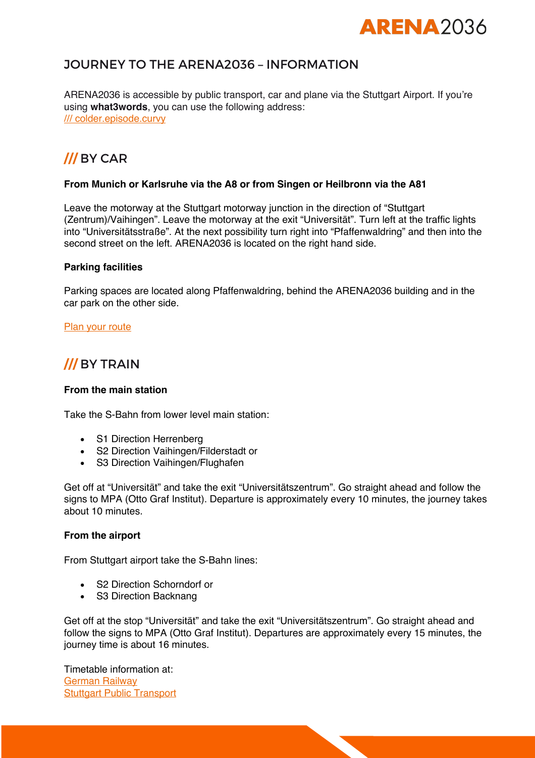# **ARFNA**2036

# JOURNEY TO THE ARENA2036 – INFORMATION

ARENA2036 is accessible by public transport, car and plane via the Stuttgart Airport. If you're using **what3words**, you can use the following address: /// colder.episode.curvy

# **///** BY CAR

#### **From Munich or Karlsruhe via the A8 or from Singen or Heilbronn via the A81**

Leave the motorway at the Stuttgart motorway junction in the direction of "Stuttgart (Zentrum)/Vaihingen". Leave the motorway at the exit "Universität". Turn left at the traffic lights into "Universitätsstraße". At the next possibility turn right into "Pfaffenwaldring" and then into the second street on the left. ARENA2036 is located on the right hand side.

#### **Parking facilities**

Parking spaces are located along Pfaffenwaldring, behind the ARENA2036 building and in the car park on the other side.

**Plan your route** 

# **///** BY TRAIN

#### **From the main station**

Take the S-Bahn from lower level main station:

- S1 Direction Herrenberg
- S2 Direction Vaihingen/Filderstadt or
- S3 Direction Vaihingen/Flughafen

Get off at "Universität" and take the exit "Universitätszentrum". Go straight ahead and follow the signs to MPA (Otto Graf Institut). Departure is approximately every 10 minutes, the journey takes about 10 minutes.

#### **From the airport**

From Stuttgart airport take the S-Bahn lines:

- S2 Direction Schorndorf or
- S3 Direction Backnang

Get off at the stop "Universität" and take the exit "Universitätszentrum". Go straight ahead and follow the signs to MPA (Otto Graf Institut). Departures are approximately every 15 minutes, the journey time is about 16 minutes.

Timetable information at: German Railway **Stuttgart Public Transport**